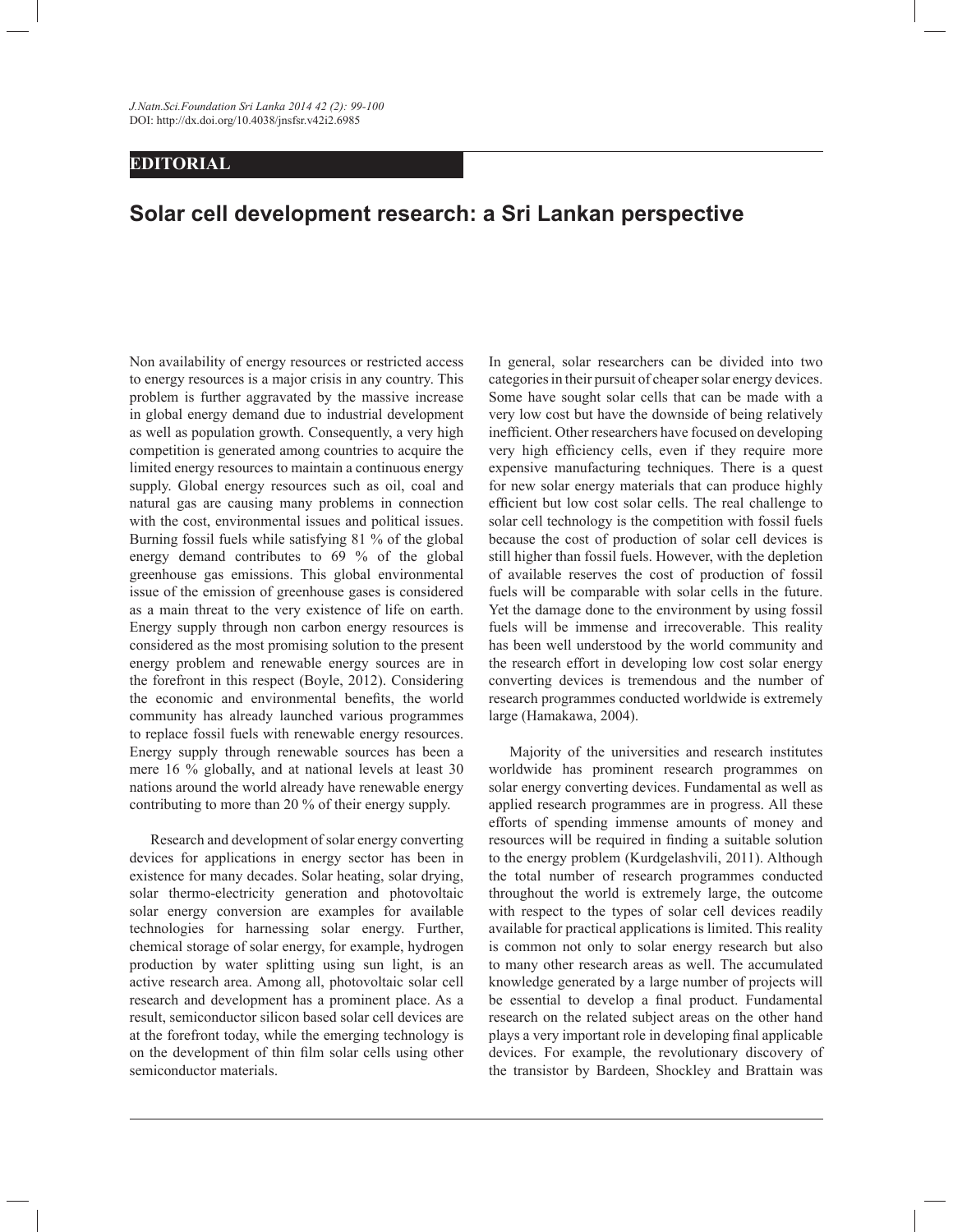## **EDITORIAL**

## **Solar cell development research: a Sri Lankan perspective**

Non availability of energy resources or restricted access to energy resources is a major crisis in any country. This problem is further aggravated by the massive increase in global energy demand due to industrial development as well as population growth. Consequently, a very high competition is generated among countries to acquire the limited energy resources to maintain a continuous energy supply. Global energy resources such as oil, coal and natural gas are causing many problems in connection with the cost, environmental issues and political issues. Burning fossil fuels while satisfying 81 % of the global energy demand contributes to 69 % of the global greenhouse gas emissions. This global environmental issue of the emission of greenhouse gases is considered as a main threat to the very existence of life on earth. Energy supply through non carbon energy resources is considered as the most promising solution to the present energy problem and renewable energy sources are in the forefront in this respect (Boyle, 2012). Considering the economic and environmental benefits, the world community has already launched various programmes to replace fossil fuels with renewable energy resources. Energy supply through renewable sources has been a mere 16 % globally, and at national levels at least 30 nations around the world already have renewable energy contributing to more than 20 % of their energy supply.

 Research and development of solar energy converting devices for applications in energy sector has been in existence for many decades. Solar heating, solar drying, solar thermo-electricity generation and photovoltaic solar energy conversion are examples for available technologies for harnessing solar energy. Further, chemical storage of solar energy, for example, hydrogen production by water splitting using sun light, is an active research area. Among all, photovoltaic solar cell research and development has a prominent place. As a result, semiconductor silicon based solar cell devices are at the forefront today, while the emerging technology is on the development of thin film solar cells using other semiconductor materials.

In general, solar researchers can be divided into two categories in their pursuit of cheaper solar energy devices. Some have sought solar cells that can be made with a very low cost but have the downside of being relatively inefficient. Other researchers have focused on developing very high efficiency cells, even if they require more expensive manufacturing techniques. There is a quest for new solar energy materials that can produce highly efficient but low cost solar cells. The real challenge to solar cell technology is the competition with fossil fuels because the cost of production of solar cell devices is still higher than fossil fuels. However, with the depletion of available reserves the cost of production of fossil fuels will be comparable with solar cells in the future. Yet the damage done to the environment by using fossil fuels will be immense and irrecoverable. This reality has been well understood by the world community and the research effort in developing low cost solar energy converting devices is tremendous and the number of research programmes conducted worldwide is extremely large (Hamakawa, 2004).

 Majority of the universities and research institutes worldwide has prominent research programmes on solar energy converting devices. Fundamental as well as applied research programmes are in progress. All these efforts of spending immense amounts of money and resources will be required in finding a suitable solution to the energy problem (Kurdgelashvili, 2011). Although the total number of research programmes conducted throughout the world is extremely large, the outcome with respect to the types of solar cell devices readily available for practical applications is limited. This reality is common not only to solar energy research but also to many other research areas as well. The accumulated knowledge generated by a large number of projects will be essential to develop a final product. Fundamental research on the related subject areas on the other hand plays a very important role in developing final applicable devices. For example, the revolutionary discovery of the transistor by Bardeen, Shockley and Brattain was